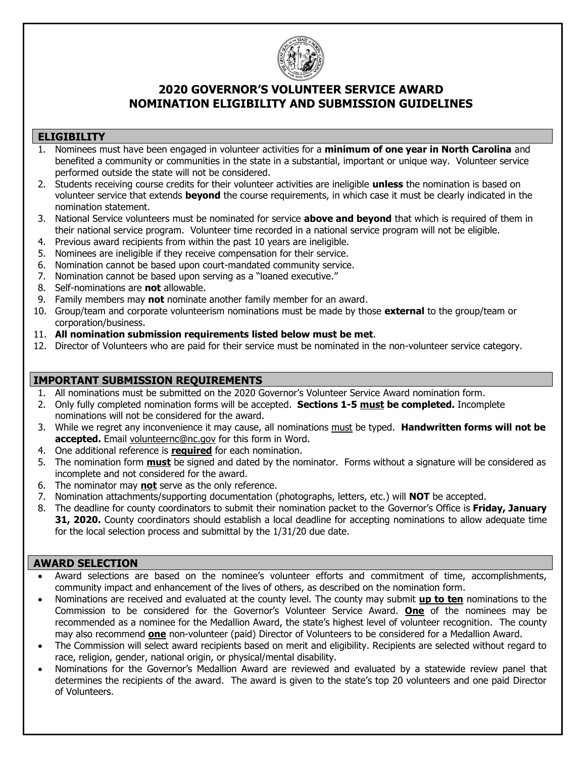

## **2020 GOVERNOR'S VOLUNTEER SERVICE AWARD NOMINATION ELIGIBILITY AND SUBMISSION GUIDELINES**

### **ELIGIBILITY**

- 1. Nominees must have been engaged in volunteer activities for a **minimum of one year in North Carolina** and benefited a community or communities in the state in a substantial, important or unique way. Volunteer service performed outside the state will not be considered.
- 2. Students receiving course credits for their volunteer activities are ineligible **unless** the nomination is based on volunteer service that extends **beyond** the course requirements, in which case it must be clearly indicated in the nomination statement.
- 3. National Service volunteers must be nominated for service **above and beyond** that which is required of them in their national service program. Volunteer time recorded in a national service program will not be eligible.
- 4. Previous award recipients from within the past 10 years are ineligible.
- 5. Nominees are ineligible if they receive compensation for their service.
- 6. Nomination cannot be based upon court-mandated community service.
- 7. Nomination cannot be based upon serving as a "loaned executive."
- 8. Self-nominations are **not** allowable.
- 9. Family members may **not** nominate another family member for an award.
- 10. Group/team and corporate volunteerism nominations must be made by those **external** to the group/team or corporation/business.
- 11. **All nomination submission requirements listed below must be met**.
- 12. Director of Volunteers who are paid for their service must be nominated in the non-volunteer service category.

### **IMPORTANT SUBMISSION REQUIREMENTS**

- 1. All nominations must be submitted on the 2020 Governor's Volunteer Service Award nomination form.
- 2. Only fully completed nomination forms will be accepted. **Sections 1-5 must be completed.** Incomplete nominations will not be considered for the award.
- 3. While we regret any inconvenience it may cause, all nominations must be typed. **Handwritten forms will not be accepted.** Email [volunteernc@nc.gov](mailto:volunteernc@nc.gov) for this form in Word.
- 4. One additional reference is **required** for each nomination.
- 5. The nomination form **must** be signed and dated by the nominator. Forms without a signature will be considered as incomplete and not considered for the award.
- 6. The nominator may **not** serve as the only reference.
- 7. Nomination attachments/supporting documentation (photographs, letters, etc.) will **NOT** be accepted.
- 8. The deadline for county coordinators to submit their nomination packet to the Governor's Office is **Friday, January 31, 2020.** County coordinators should establish a local deadline for accepting nominations to allow adequate time for the local selection process and submittal by the 1/31/20 due date.

#### **AWARD SELECTION**

- Award selections are based on the nominee's volunteer efforts and commitment of time, accomplishments, community impact and enhancement of the lives of others, as described on the nomination form.
- Nominations are received and evaluated at the county level. The county may submit **up to ten** nominations to the Commission to be considered for the Governor's Volunteer Service Award. **One** of the nominees may be recommended as a nominee for the Medallion Award, the state's highest level of volunteer recognition. The county may also recommend **one** non-volunteer (paid) Director of Volunteers to be considered for a Medallion Award.
- The Commission will select award recipients based on merit and eligibility. Recipients are selected without regard to race, religion, gender, national origin, or physical/mental disability.
- Nominations for the Governor's Medallion Award are reviewed and evaluated by a statewide review panel that determines the recipients of the award. The award is given to the state's top 20 volunteers and one paid Director of Volunteers.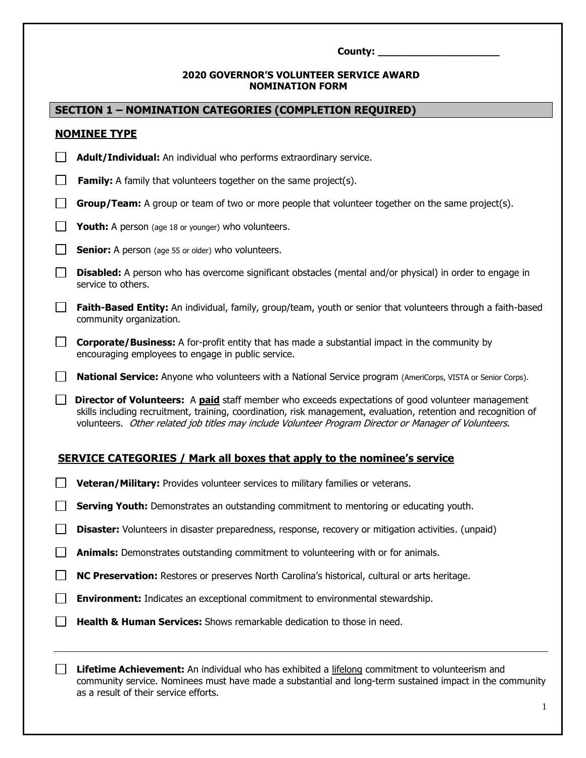| County: |  |
|---------|--|
|         |  |

#### **2020 GOVERNOR'S VOLUNTEER SERVICE AWARD NOMINATION FORM**

|                   | <b>SECTION 1 - NOMINATION CATEGORIES (COMPLETION REQUIRED)</b>                                                                                                                                                                                                                                                                       |
|-------------------|--------------------------------------------------------------------------------------------------------------------------------------------------------------------------------------------------------------------------------------------------------------------------------------------------------------------------------------|
|                   | <b>NOMINEE TYPE</b>                                                                                                                                                                                                                                                                                                                  |
| $\Box$            | Adult/Individual: An individual who performs extraordinary service.                                                                                                                                                                                                                                                                  |
| $\Box$            | <b>Family:</b> A family that volunteers together on the same project(s).                                                                                                                                                                                                                                                             |
| ⊔                 | <b>Group/Team:</b> A group or team of two or more people that volunteer together on the same project(s).                                                                                                                                                                                                                             |
| $\Box$            | <b>Youth:</b> A person (age 18 or younger) who volunteers.                                                                                                                                                                                                                                                                           |
| $\Box$            | <b>Senior:</b> A person (age 55 or older) who volunteers.                                                                                                                                                                                                                                                                            |
| $\Box$            | Disabled: A person who has overcome significant obstacles (mental and/or physical) in order to engage in<br>service to others.                                                                                                                                                                                                       |
| $\Box$            | Faith-Based Entity: An individual, family, group/team, youth or senior that volunteers through a faith-based<br>community organization.                                                                                                                                                                                              |
| $\Box$            | <b>Corporate/Business:</b> A for-profit entity that has made a substantial impact in the community by<br>encouraging employees to engage in public service.                                                                                                                                                                          |
| $\Box$            | <b>National Service:</b> Anyone who volunteers with a National Service program (AmeriCorps, VISTA or Senior Corps).                                                                                                                                                                                                                  |
| $\Box$            | <b>Director of Volunteers:</b> A paid staff member who exceeds expectations of good volunteer management<br>skills including recruitment, training, coordination, risk management, evaluation, retention and recognition of<br>volunteers. Other related job titles may include Volunteer Program Director or Manager of Volunteers. |
|                   | <b>SERVICE CATEGORIES / Mark all boxes that apply to the nominee's service</b>                                                                                                                                                                                                                                                       |
|                   | Veteran/Military: Provides volunteer services to military families or veterans.                                                                                                                                                                                                                                                      |
|                   | Serving Youth: Demonstrates an outstanding commitment to mentoring or educating youth.                                                                                                                                                                                                                                               |
|                   | Disaster: Volunteers in disaster preparedness, response, recovery or mitigation activities. (unpaid)                                                                                                                                                                                                                                 |
| $\mathbb{R}^n$    | Animals: Demonstrates outstanding commitment to volunteering with or for animals.                                                                                                                                                                                                                                                    |
| $\Box$            | NC Preservation: Restores or preserves North Carolina's historical, cultural or arts heritage.                                                                                                                                                                                                                                       |
| $\vert \ \ \vert$ | <b>Environment:</b> Indicates an exceptional commitment to environmental stewardship.                                                                                                                                                                                                                                                |

**Health & Human Services:** Shows remarkable dedication to those in need.

**Lifetime Achievement:** An individual who has exhibited a lifelong commitment to volunteerism and community service. Nominees must have made a substantial and long-term sustained impact in the community as a result of their service efforts.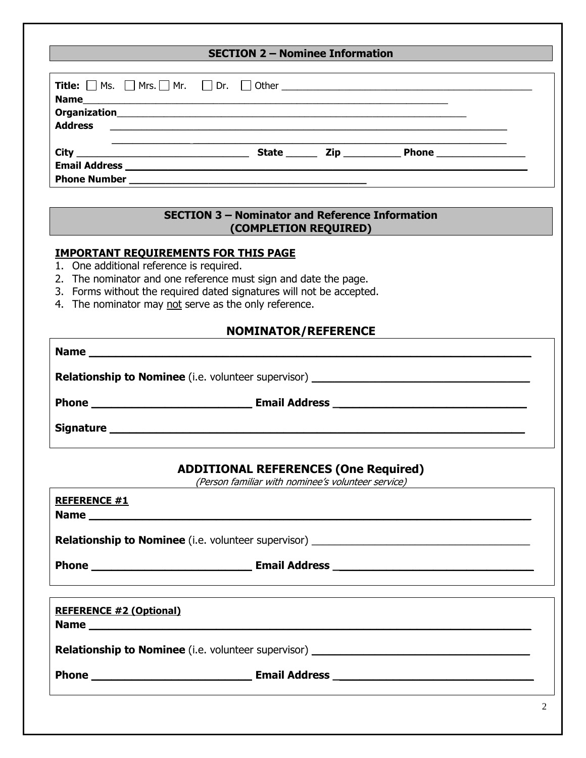| <b>SECTION 2 - Nominee Information</b> |  |  |  |  |
|----------------------------------------|--|--|--|--|
|                                        |  |  |  |  |
|                                        |  |  |  |  |
|                                        |  |  |  |  |
|                                        |  |  |  |  |

#### **SECTION 3 – Nominator and Reference Information (COMPLETION REQUIRED)**

#### **IMPORTANT REQUIREMENTS FOR THIS PAGE**

- 1. One additional reference is required.
- 2. The nominator and one reference must sign and date the page.
- 3. Forms without the required dated signatures will not be accepted.
- 4. The nominator may not serve as the only reference.

### **NOMINATOR/REFERENCE**

| <b>Relationship to Nominee</b> (i.e. volunteer supervisor) _________________________________ |
|----------------------------------------------------------------------------------------------|
|                                                                                              |
|                                                                                              |

## **ADDITIONAL REFERENCES (One Required)**

(Person familiar with nominee's volunteer service)

| <b>REFERENCE #1</b>            |                                                                                                                                                                                          |
|--------------------------------|------------------------------------------------------------------------------------------------------------------------------------------------------------------------------------------|
|                                | Relationship to Nominee (i.e. volunteer supervisor) ____________________________                                                                                                         |
|                                | Phone <b>Email Address Email Address Email Address Phone Email Address Phone Phone Phone Phone Phone Phone Phone Phone Phone Phone Phone Phone Phone Phone Phone Phone Phone Phone</b>   |
|                                |                                                                                                                                                                                          |
| <b>REFERENCE #2 (Optional)</b> |                                                                                                                                                                                          |
|                                | <b>Relationship to Nominee</b> (i.e. volunteer supervisor) ____________________________                                                                                                  |
|                                | Phone <b>Email Address Email Address Email Address Phone Email Address Phone Email Address Phone Phone Phone Phone Phone Phone Phone Phone Phone Phone Phone Phone Phone Phone Phone</b> |
|                                | $\sim$                                                                                                                                                                                   |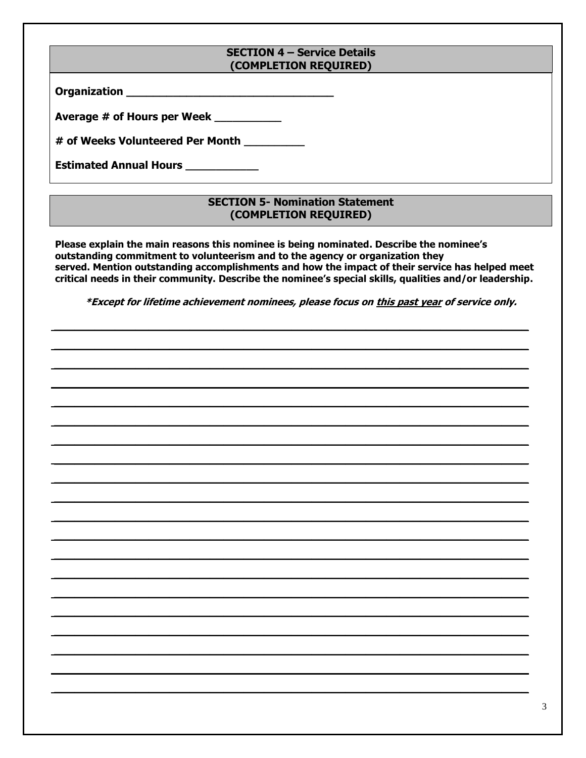#### **SECTION 4 - Service Details** (COMPLETION REQUIRED)

| <b>Organization</b> |  |
|---------------------|--|
|                     |  |

Average # of Hours per Week \_\_\_\_\_\_\_\_\_\_

# of Weeks Volunteered Per Month

Estimated Annual Hours \_\_\_\_\_\_\_\_\_\_\_\_

### **SECTION 5- Nomination Statement** (COMPLETION REQUIRED)

Please explain the main reasons this nominee is being nominated. Describe the nominee's outstanding commitment to volunteerism and to the agency or organization they served. Mention outstanding accomplishments and how the impact of their service has helped meet critical needs in their community. Describe the nominee's special skills, qualities and/or leadership.

\*Except for lifetime achievement nominees, please focus on this past year of service only.